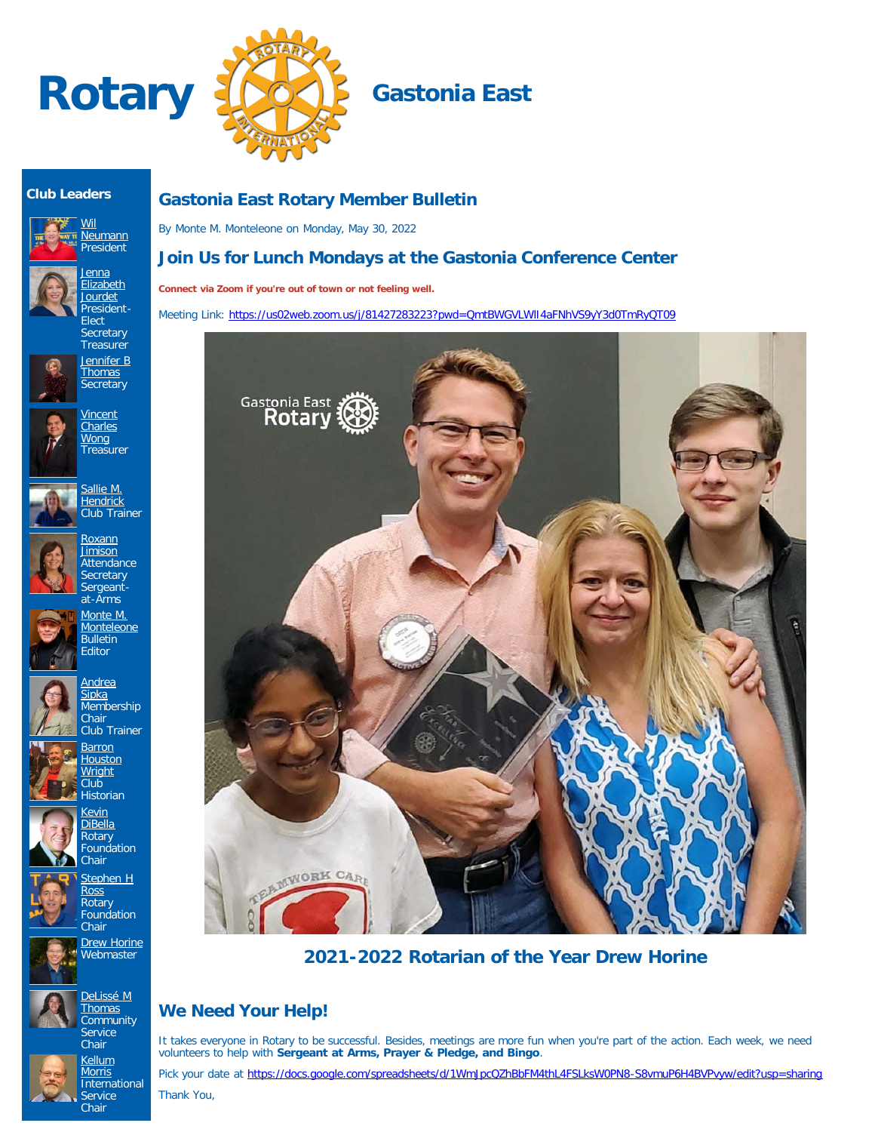



## **Club Leaders**





**Elect** Secretary **Treasurer** [Jennifer B](https://www.ismyrotaryclub.org/EMailer.cfm?ID=800611473) **[Thomas](https://www.ismyrotaryclub.org/EMailer.cfm?ID=800611473)** 

**Secretary** 

**[Vincent](https://www.ismyrotaryclub.org/EMailer.cfm?ID=800608521) [Charles](https://www.ismyrotaryclub.org/EMailer.cfm?ID=800608521) [Wong](https://www.ismyrotaryclub.org/EMailer.cfm?ID=800608521)** Treasurer

<u>[Jenna](https://www.ismyrotaryclub.org/EMailer.cfm?ID=800780946)</u> [Elizabeth](https://www.ismyrotaryclub.org/EMailer.cfm?ID=800780946) [Jourdet](https://www.ismyrotaryclub.org/EMailer.cfm?ID=800780946) President-



[Sallie M.](https://www.ismyrotaryclub.org/EMailer.cfm?ID=800884505) **[Hendrick](https://www.ismyrotaryclub.org/EMailer.cfm?ID=800884505)** 



Club Trainer [Roxann](https://www.ismyrotaryclub.org/EMailer.cfm?ID=800904205) [Jimison](https://www.ismyrotaryclub.org/EMailer.cfm?ID=800904205) **Attendance** 

> **Secretary** Sergeantat-Arms

**[Monteleone](https://www.ismyrotaryclub.org/EMailer.cfm?ID=76803994) Bulletin Editor** 





**[Barron](https://www.ismyrotaryclub.org/EMailer.cfm?ID=76804055) [Houston](https://www.ismyrotaryclub.org/EMailer.cfm?ID=76804055) [Wright](https://www.ismyrotaryclub.org/EMailer.cfm?ID=76804055)** Club Historian

> [Kevin](https://www.ismyrotaryclub.org/EMailer.cfm?ID=76803943) [DiBella](https://www.ismyrotaryclub.org/EMailer.cfm?ID=76803943) Rotary



Foundation Chair [Stephen H](https://www.ismyrotaryclub.org/EMailer.cfm?ID=800746516) [Ross](https://www.ismyrotaryclub.org/EMailer.cfm?ID=800746516) **Rotary Foundation Chair** 



[DeLissé M](https://www.ismyrotaryclub.org/EMailer.cfm?ID=800899434) **[Thomas](https://www.ismyrotaryclub.org/EMailer.cfm?ID=800899434) Community Service** 



Chair **[Kellum](https://www.ismyrotaryclub.org/EMailer.cfm?ID=76803997) [Morris](https://www.ismyrotaryclub.org/EMailer.cfm?ID=76803997) International Service** Chair

**[Drew Horine](https://www.ismyrotaryclub.org/EMailer.cfm?ID=800801377) Webmaster** 

# **Gastonia East Rotary Member Bulletin**

By Monte M. Monteleone on Monday, May 30, 2022

# **Join Us for Lunch Mondays at the Gastonia Conference Center**

**Connect via Zoom if you're out of town or not feeling well.**

Meeting Link: https://us02web.zoom.us/j/81427283223?pwd=QmtBWGVLWII4aFNhVS9yY3d0TmRyQT09



**2021-2022 Rotarian of the Year Drew Horine**

# **We Need Your Help!**

It takes everyone in Rotary to be successful. Besides, meetings are more fun when you're part of the action. Each week, we need volunteers to help with **Sergeant at Arms, Prayer & Pledge, and Bingo**.

Pick your date at <https://docs.google.com/spreadsheets/d/1WmJpcQZhBbFM4thL4FSLksW0PN8-S8vmuP6H4BVPvyw/edit?usp=sharing>

Thank You,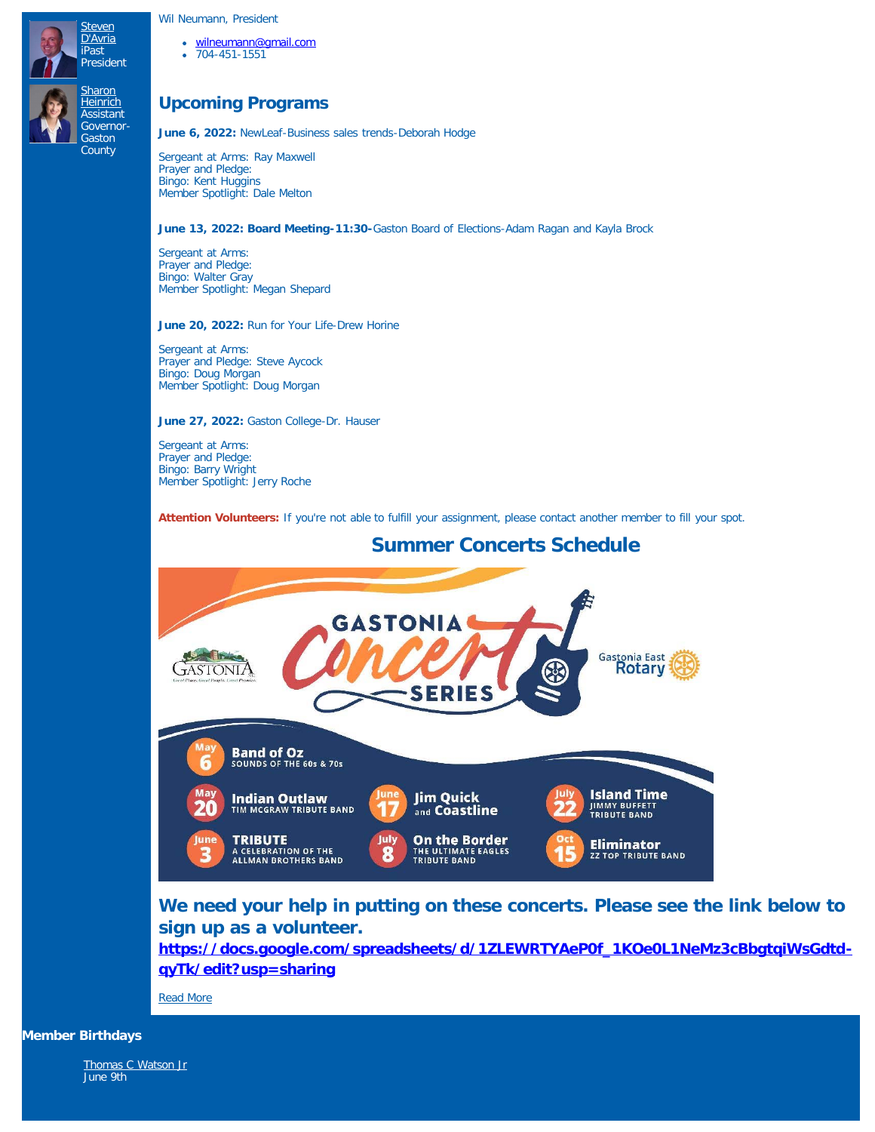## Wil Neumann, President

[Steven](https://www.ismyrotaryclub.org/EMailer.cfm?ID=800406009) [D'Avria](https://www.ismyrotaryclub.org/EMailer.cfm?ID=800406009) iPast President **[Sharon](https://www.ismyrotaryclub.org/EMailer.cfm?ID=800051679) [Heinrich](https://www.ismyrotaryclub.org/EMailer.cfm?ID=800051679) Assistant** Governor-**Gaston County** 

- [wilneumann@gmail.com](mailto:wilneumann@gmail.com)
- 704-451-1551

## **Upcoming Programs**

**June 6, 2022:** NewLeaf-Business sales trends-Deborah Hodge

Sergeant at Arms: Ray Maxwell Prayer and Pledge: Bingo: Kent Huggins Member Spotlight: Dale Melton

## **June 13, 2022: Board Meeting-11:30-**Gaston Board of Elections-Adam Ragan and Kayla Brock

Sergeant at Arms: Prayer and Pledge: Bingo: Walter Gray Member Spotlight: Megan Shepard

**June 20, 2022:** Run for Your Life-Drew Horine

Sergeant at Arms: Prayer and Pledge: Steve Aycock Bingo: Doug Morgan Member Spotlight: Doug Morgan

**June 27, 2022:** Gaston College-Dr. Hauser

Sergeant at Arms: Prayer and Pledge: Bingo: Barry Wright Member Spotlight: Jerry Roche

Attention Volunteers: If you're not able to fulfill your assignment, please contact another member to fill your spot.



# **We need your help in putting on these concerts. Please see the link below to sign up as a volunteer.**

**[https://docs.google.com/spreadsheets/d/1ZLEWRTYAeP0f\\_1KOe0L1NeMz3cBbgtqiWsGdtd](https://docs.google.com/spreadsheets/d/1ZLEWRTYAeP0f_1KOe0L1NeMz3cBbgtqiWsGdtd-qyTk/edit?usp=sharing)[qyTk/edit?usp=sharing](https://docs.google.com/spreadsheets/d/1ZLEWRTYAeP0f_1KOe0L1NeMz3cBbgtqiWsGdtd-qyTk/edit?usp=sharing)**

[Read More](https://ismyrotaryclub.com/story/ezBulletinMore.cfm?StoryID=170603)

**Member Birthdays**